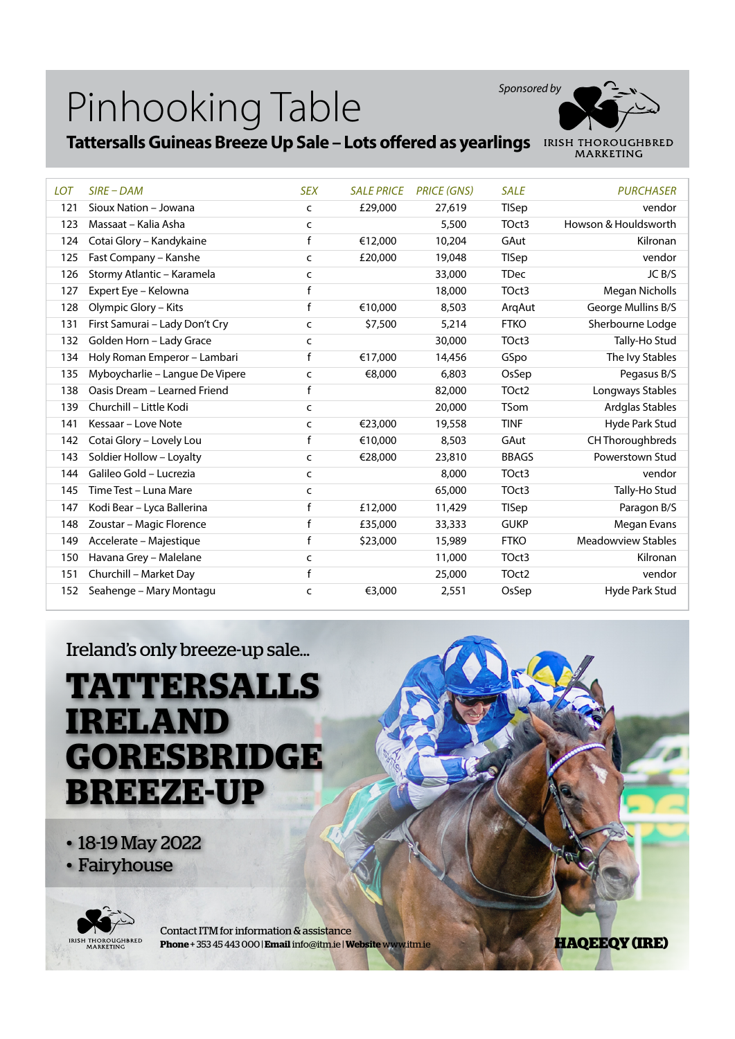

#### **Tattersalls Guineas Breeze Up Sale – Lots offered as yearlings**

| <b>LOT</b> | $SIRE$ – DAM                    | <b>SEX</b>   | <b>SALE PRICE</b> | <b>PRICE (GNS)</b> | <b>SALE</b>       | <b>PURCHASER</b>          |
|------------|---------------------------------|--------------|-------------------|--------------------|-------------------|---------------------------|
| 121        | Sioux Nation - Jowana           | C            | £29,000           | 27,619             | <b>TISep</b>      | vendor                    |
| 123        | Massaat - Kalia Asha            | C            |                   | 5,500              | TOct3             | Howson & Houldsworth      |
| 124        | Cotai Glory - Kandykaine        | f            | €12,000           | 10,204             | GAut              | Kilronan                  |
| 125        | Fast Company - Kanshe           | C            | £20,000           | 19,048             | <b>TISep</b>      | vendor                    |
| 126        | Stormy Atlantic - Karamela      | c            |                   | 33,000             | <b>TDec</b>       | JC B/S                    |
| 127        | Expert Eye - Kelowna            | f            |                   | 18,000             | TOct3             | <b>Megan Nicholls</b>     |
| 128        | Olympic Glory - Kits            | f            | €10,000           | 8,503              | ArqAut            | George Mullins B/S        |
| 131        | First Samurai - Lady Don't Cry  | $\mathsf{C}$ | \$7,500           | 5,214              | <b>FTKO</b>       | Sherbourne Lodge          |
| 132        | Golden Horn - Lady Grace        | C            |                   | 30,000             | TOct3             | Tally-Ho Stud             |
| 134        | Holy Roman Emperor - Lambari    | f            | €17.000           | 14,456             | GSpo              | The Ivy Stables           |
| 135        | Myboycharlie - Langue De Vipere | C            | €8,000            | 6,803              | OsSep             | Pegasus B/S               |
| 138        | Oasis Dream - Learned Friend    | f            |                   | 82,000             | TOct <sub>2</sub> | Longways Stables          |
| 139        | Churchill - Little Kodi         | $\mathsf{C}$ |                   | 20,000             | <b>TSom</b>       | Ardglas Stables           |
| 141        | Kessaar – Love Note             | C            | €23,000           | 19,558             | <b>TINF</b>       | Hyde Park Stud            |
| 142        | Cotai Glory - Lovely Lou        | f            | €10,000           | 8,503              | GAut              | CH Thoroughbreds          |
| 143        | Soldier Hollow - Loyalty        | C            | €28,000           | 23,810             | <b>BBAGS</b>      | Powerstown Stud           |
| 144        | Galileo Gold - Lucrezia         | C            |                   | 8,000              | TOct3             | vendor                    |
| 145        | Time Test - Luna Mare           | C            |                   | 65,000             | TOct3             | Tally-Ho Stud             |
| 147        | Kodi Bear - Lyca Ballerina      | f            | £12,000           | 11,429             | TISep             | Paragon B/S               |
| 148        | Zoustar - Magic Florence        | f            | £35,000           | 33,333             | <b>GUKP</b>       | Megan Evans               |
| 149        | Accelerate - Majestique         | f            | \$23,000          | 15,989             | <b>FTKO</b>       | <b>Meadowview Stables</b> |
| 150        | Havana Grey - Malelane          | C            |                   | 11,000             | TOct3             | Kilronan                  |
| 151        | Churchill - Market Day          | f            |                   | 25,000             | TOct2             | vendor                    |
| 152        | Seahenge - Mary Montagu         | C            | €3,000            | 2,551              | OsSep             | Hyde Park Stud            |

Ireland's only breeze-up sale...

#### **TATTERSALLS IRELAND GORESBRIDGE BREEZE-UP**

- 18-19 May 2022
- Fairyhouse



Contact ITM for information & assistance **Phone** + 353 45 443 000 | **Email** info@itm.ie | **Website** www.itm.ie

**HAQEEQY (IRE)**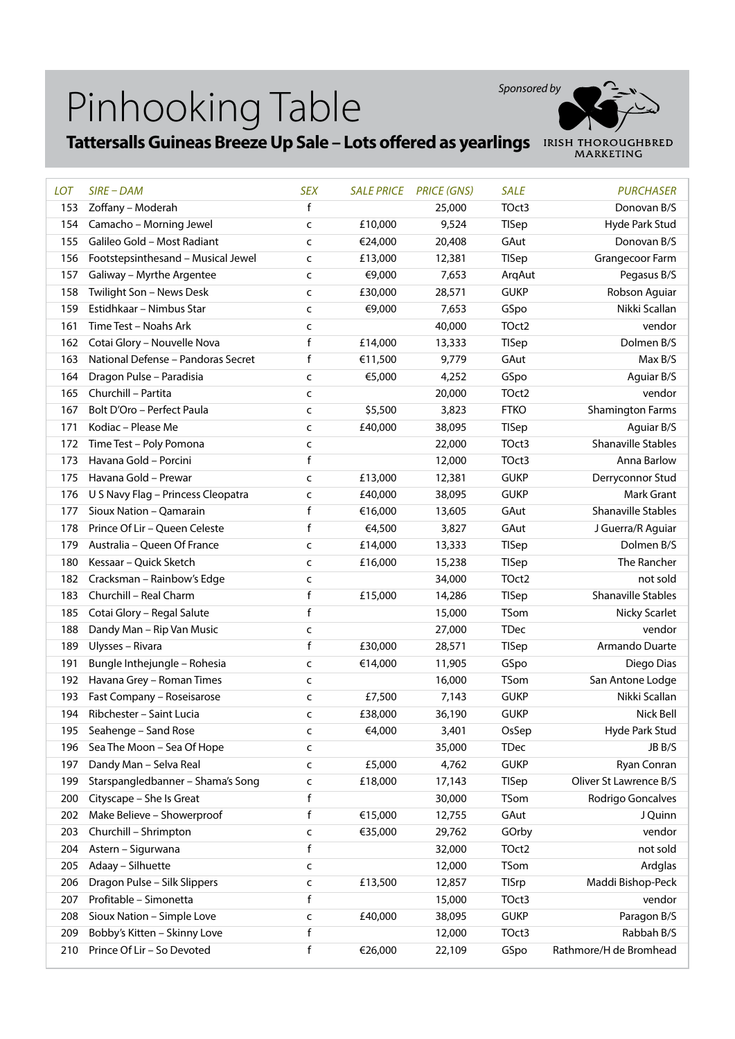

## **Tattersalls Guineas Breeze Up Sale – Lots offered as yearlings**

| <b>LOT</b> | $SIRE$ - $DAM$                          | <b>SEX</b>   |         | <b>SALE PRICE PRICE (GNS)</b> | <b>SALE</b>   | <b>PURCHASER</b>          |
|------------|-----------------------------------------|--------------|---------|-------------------------------|---------------|---------------------------|
| 153        | Zoffany - Moderah                       | f            |         | 25,000                        | TOct3         | Donovan B/S               |
| 154        | Camacho - Morning Jewel                 | $\mathsf{C}$ | £10,000 | 9,524                         | TISep         | <b>Hyde Park Stud</b>     |
| 155        | Galileo Gold - Most Radiant             | $\mathsf{C}$ | €24,000 | 20,408                        | GAut          | Donovan B/S               |
| 156        | Footstepsinthesand - Musical Jewel      | $\mathsf{C}$ | £13,000 | 12,381                        | TISep         | Grangecoor Farm           |
| 157        | Galiway - Myrthe Argentee               | $\mathsf{C}$ | €9,000  | 7,653                         | ArqAut        | Pegasus B/S               |
| 158        | Twilight Son - News Desk                | $\mathsf{C}$ | £30,000 | 28,571                        | <b>GUKP</b>   | Robson Aguiar             |
| 159        | Estidhkaar - Nimbus Star                | $\mathsf{C}$ | €9,000  | 7,653                         | GSpo          | Nikki Scallan             |
| 161        | Time Test - Noahs Ark                   | $\mathsf{C}$ |         | 40,000                        | TOct2         | vendor                    |
| 162        | Cotai Glory - Nouvelle Nova             | f            | £14,000 | 13,333                        | <b>TISep</b>  | Dolmen B/S                |
| 163        | National Defense - Pandoras Secret      | f            | €11,500 | 9,779                         | GAut          | Max B/S                   |
| 164        | Dragon Pulse - Paradisia                | $\mathsf{C}$ | €5,000  | 4,252                         | GSpo          | Aguiar B/S                |
| 165        | Churchill - Partita                     | $\mathsf{C}$ |         | 20,000                        | TOct2         | vendor                    |
| 167        | Bolt D'Oro - Perfect Paula              | $\mathsf{C}$ | \$5,500 | 3,823                         | <b>FTKO</b>   | <b>Shamington Farms</b>   |
| 171        | Kodiac - Please Me                      | $\mathsf{C}$ | £40,000 | 38,095                        | TISep         | Aguiar B/S                |
| 172        | Time Test - Poly Pomona                 | $\mathsf{C}$ |         | 22,000                        | TOct3         | <b>Shanaville Stables</b> |
| 173        | Havana Gold - Porcini                   | $\mathsf{f}$ |         | 12,000                        | TOct3         | Anna Barlow               |
| 175        | Havana Gold - Prewar                    | $\mathsf{C}$ | £13,000 | 12,381                        | <b>GUKP</b>   | Derryconnor Stud          |
| 176        | U S Navy Flag - Princess Cleopatra      | $\mathsf{C}$ | £40,000 | 38,095                        | <b>GUKP</b>   | Mark Grant                |
| 177        | Sioux Nation - Qamarain                 | f            | €16,000 | 13,605                        | GAut          | <b>Shanaville Stables</b> |
| 178        | Prince Of Lir - Queen Celeste           | $\mathsf{f}$ | €4,500  | 3,827                         | GAut          | J Guerra/R Aguiar         |
| 179        | Australia - Queen Of France             | $\mathsf{C}$ | £14,000 | 13,333                        | <b>TISep</b>  | Dolmen B/S                |
| 180        | Kessaar - Quick Sketch                  | $\mathsf{C}$ | £16,000 | 15,238                        | TISep         | The Rancher               |
| 182        | Cracksman - Rainbow's Edge              | $\mathsf{C}$ |         | 34,000                        | TOct2         | not sold                  |
| 183        | Churchill - Real Charm                  | f            | £15,000 | 14,286                        | TISep         | <b>Shanaville Stables</b> |
| 185        | Cotai Glory - Regal Salute              | $\mathsf{f}$ |         | 15,000                        | <b>TSom</b>   | Nicky Scarlet             |
| 188        | Dandy Man - Rip Van Music               | $\mathsf{C}$ |         | 27,000                        | <b>TDec</b>   | vendor                    |
| 189        | Ulysses - Rivara                        | $\mathsf{f}$ | £30,000 | 28,571                        | TISep         | Armando Duarte            |
| 191        | Bungle Inthejungle - Rohesia            | $\mathsf{C}$ | €14,000 | 11,905                        | GSpo          | Diego Dias                |
| 192        | Havana Grey - Roman Times               | $\mathsf{C}$ |         | 16,000                        | TSom          | San Antone Lodge          |
| 193        | Fast Company - Roseisarose              | $\mathsf{C}$ | £7,500  | 7,143                         | <b>GUKP</b>   | Nikki Scallan             |
| 194        | Ribchester - Saint Lucia                | $\mathsf{C}$ | £38,000 | 36,190                        | <b>GUKP</b>   | Nick Bell                 |
|            | 195 Seahenge - Sand Rose                | c            | €4,000  | 3,401                         | OsSep         | Hyde Park Stud            |
| 196        | Sea The Moon - Sea Of Hope              | $\mathsf{C}$ |         | 35,000                        | <b>TDec</b>   | JB B/S                    |
| 197        | Dandy Man - Selva Real                  | $\mathsf{C}$ | £5,000  | 4,762                         | <b>GUKP</b>   | Ryan Conran               |
| 199        | Starspangledbanner - Shama's Song       | c            | £18,000 | 17,143                        | <b>TISep</b>  | Oliver St Lawrence B/S    |
| 200        | Cityscape - She Is Great                | f            |         | 30,000                        | TSom          | Rodrigo Goncalves         |
| 202        | Make Believe - Showerproof              | f            | €15,000 | 12,755                        | GAut          | J Quinn                   |
| 203        | Churchill - Shrimpton                   |              | €35,000 | 29,762                        | GOrby         | vendor                    |
|            |                                         | c<br>f       |         |                               |               |                           |
| 204        | Astern - Sigurwana<br>Adaay - Silhuette |              |         | 32,000                        | TOct2<br>TSom | not sold                  |
| 205        |                                         | c            |         | 12,000                        |               | Ardglas                   |
| 206        | Dragon Pulse - Silk Slippers            | $\mathsf{C}$ | £13,500 | 12,857                        | <b>TISrp</b>  | Maddi Bishop-Peck         |
| 207        | Profitable - Simonetta                  | $\mathsf f$  |         | 15,000                        | TOct3         | vendor                    |
| 208        | Sioux Nation - Simple Love              | c            | £40,000 | 38,095                        | <b>GUKP</b>   | Paragon B/S               |
| 209        | Bobby's Kitten - Skinny Love            | f            |         | 12,000                        | TOct3         | Rabbah B/S                |
| 210        | Prince Of Lir - So Devoted              | f            | €26,000 | 22,109                        | GSpo          | Rathmore/H de Bromhead    |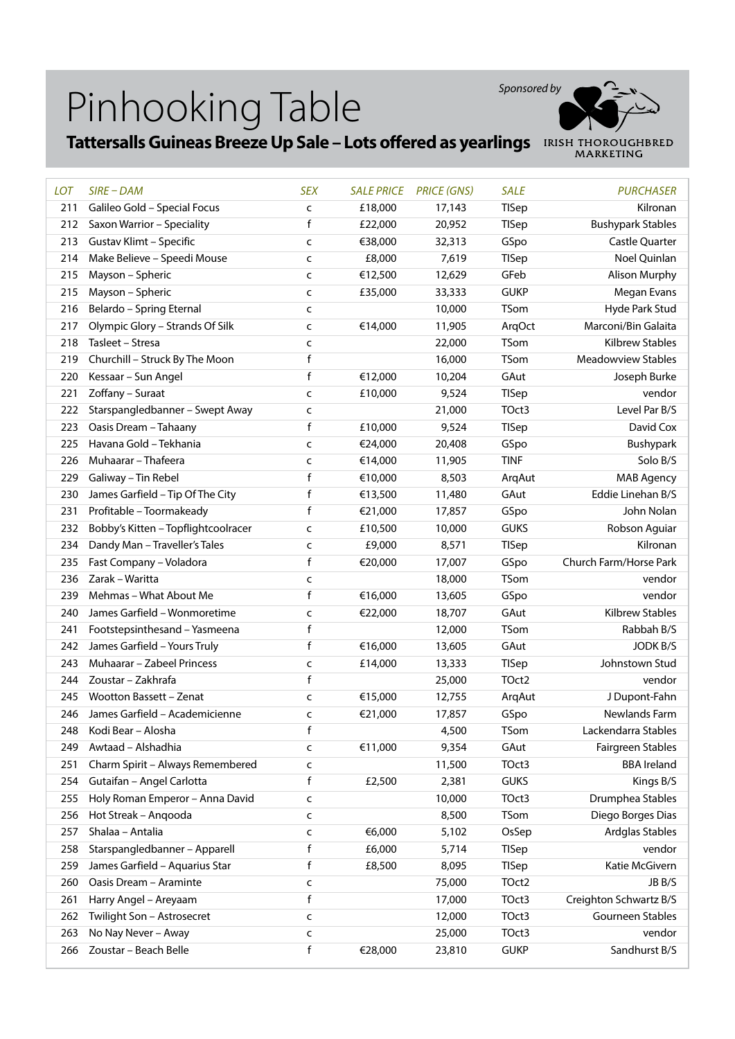

### **Tattersalls Guineas Breeze Up Sale – Lots offered as yearlings**

| <b>LOT</b> | $SIRE$ – $DAM$                      | <b>SEX</b>   | <b>SALE PRICE</b> | <b>PRICE (GNS)</b> | <b>SALE</b>  | <b>PURCHASER</b>          |
|------------|-------------------------------------|--------------|-------------------|--------------------|--------------|---------------------------|
| 211        | Galileo Gold - Special Focus        | $\mathsf{C}$ | £18,000           | 17,143             | TISep        | Kilronan                  |
| 212        | Saxon Warrior - Speciality          | f            | £22,000           | 20,952             | TISep        | <b>Bushypark Stables</b>  |
| 213        | Gustav Klimt - Specific             | C            | €38,000           | 32,313             | GSpo         | Castle Quarter            |
| 214        | Make Believe - Speedi Mouse         | $\mathsf{C}$ | £8,000            | 7,619              | TISep        | Noel Quinlan              |
| 215        | Mayson - Spheric                    | C            | €12,500           | 12,629             | GFeb         | Alison Murphy             |
| 215        | Mayson - Spheric                    | $\mathsf{C}$ | £35,000           | 33,333             | <b>GUKP</b>  | Megan Evans               |
| 216        | Belardo - Spring Eternal            | $\sf{C}$     |                   | 10,000             | <b>TSom</b>  | Hyde Park Stud            |
| 217        | Olympic Glory - Strands Of Silk     | C            | €14,000           | 11,905             | ArqOct       | Marconi/Bin Galaita       |
| 218        | Tasleet - Stresa                    | $\mathsf{C}$ |                   | 22,000             | TSom         | Kilbrew Stables           |
| 219        | Churchill - Struck By The Moon      | f            |                   | 16,000             | TSom         | <b>Meadowview Stables</b> |
| 220        | Kessaar - Sun Angel                 | f            | €12,000           | 10,204             | GAut         | Joseph Burke              |
| 221        | Zoffany - Suraat                    | $\mathsf{C}$ | £10,000           | 9,524              | TISep        | vendor                    |
| 222        | Starspangledbanner - Swept Away     | $\mathsf{C}$ |                   | 21,000             | TOct3        | Level Par B/S             |
| 223        | Oasis Dream - Tahaany               | f            | £10,000           | 9,524              | <b>TISep</b> | David Cox                 |
| 225        | Havana Gold - Tekhania              | $\mathsf{C}$ | €24,000           | 20,408             | GSpo         | Bushypark                 |
| 226        | Muhaarar - Thafeera                 | $\mathsf{C}$ | €14,000           | 11,905             | <b>TINF</b>  | Solo B/S                  |
| 229        | Galiway - Tin Rebel                 | f            | €10,000           | 8,503              | ArqAut       | <b>MAB Agency</b>         |
| 230        | James Garfield - Tip Of The City    | f            | €13,500           | 11,480             | GAut         | Eddie Linehan B/S         |
| 231        | Profitable - Toormakeady            | f            | €21,000           | 17,857             | GSpo         | John Nolan                |
| 232        | Bobby's Kitten - Topflightcoolracer | $\mathsf{C}$ | £10,500           | 10,000             | <b>GUKS</b>  | Robson Aguiar             |
| 234        | Dandy Man - Traveller's Tales       | $\mathsf{C}$ | £9,000            | 8,571              | <b>TISep</b> | Kilronan                  |
| 235        | Fast Company - Voladora             | f            | €20,000           | 17,007             | GSpo         | Church Farm/Horse Park    |
| 236        | Zarak - Waritta                     | C            |                   | 18,000             | TSom         | vendor                    |
| 239        | Mehmas - What About Me              | f            | €16,000           | 13,605             | GSpo         | vendor                    |
| 240        | James Garfield - Wonmoretime        | c            | €22,000           | 18,707             | GAut         | Kilbrew Stables           |
| 241        | Footstepsinthesand - Yasmeena       | f            |                   | 12,000             | TSom         | Rabbah B/S                |
| 242        | James Garfield - Yours Truly        | f            | €16,000           | 13,605             | GAut         | <b>JODK B/S</b>           |
| 243        | Muhaarar - Zabeel Princess          | $\sf{C}$     | £14,000           | 13,333             | <b>TISep</b> | Johnstown Stud            |
| 244        | Zoustar - Zakhrafa                  | f            |                   | 25,000             | TOct2        | vendor                    |
| 245        | <b>Wootton Bassett - Zenat</b>      | C            | €15,000           | 12,755             | ArqAut       | J Dupont-Fahn             |
| 246        | James Garfield - Academicienne      | $\mathsf{C}$ | €21,000           | 17,857             | GSpo         | Newlands Farm             |
|            | 248 Kodi Bear - Alosha              | f            |                   | 4,500              | TSom         | Lackendarra Stables       |
| 249        | Awtaad - Alshadhia                  | C            | €11,000           | 9,354              | GAut         | Fairgreen Stables         |
| 251        | Charm Spirit - Always Remembered    | $\mathsf{C}$ |                   | 11,500             | TOct3        | <b>BBA Ireland</b>        |
| 254        | Gutaifan - Angel Carlotta           | f            | £2,500            | 2,381              | <b>GUKS</b>  | Kings B/S                 |
| 255        | Holy Roman Emperor - Anna David     | C            |                   | 10,000             | TOct3        | Drumphea Stables          |
| 256        | Hot Streak - Angooda                | C            |                   | 8,500              | TSom         | Diego Borges Dias         |
| 257        | Shalaa - Antalia                    | $\mathsf{C}$ | €6,000            | 5,102              | OsSep        | Ardglas Stables           |
| 258        | Starspangledbanner - Apparell       | f            | £6,000            | 5,714              | TISep        | vendor                    |
| 259        | James Garfield - Aquarius Star      | f            | £8,500            | 8,095              | TISep        | Katie McGivern            |
| 260        | Oasis Dream - Araminte              | c            |                   | 75,000             | TOct2        | JB B/S                    |
| 261        | Harry Angel - Areyaam               | f            |                   | 17,000             | TOct3        | Creighton Schwartz B/S    |
| 262        | Twilight Son - Astrosecret          | c            |                   | 12,000             | TOct3        | Gourneen Stables          |
| 263        | No Nay Never - Away                 | c            |                   | 25,000             | TOct3        | vendor                    |
| 266        | Zoustar - Beach Belle               | f            | €28,000           | 23,810             | <b>GUKP</b>  | Sandhurst B/S             |
|            |                                     |              |                   |                    |              |                           |